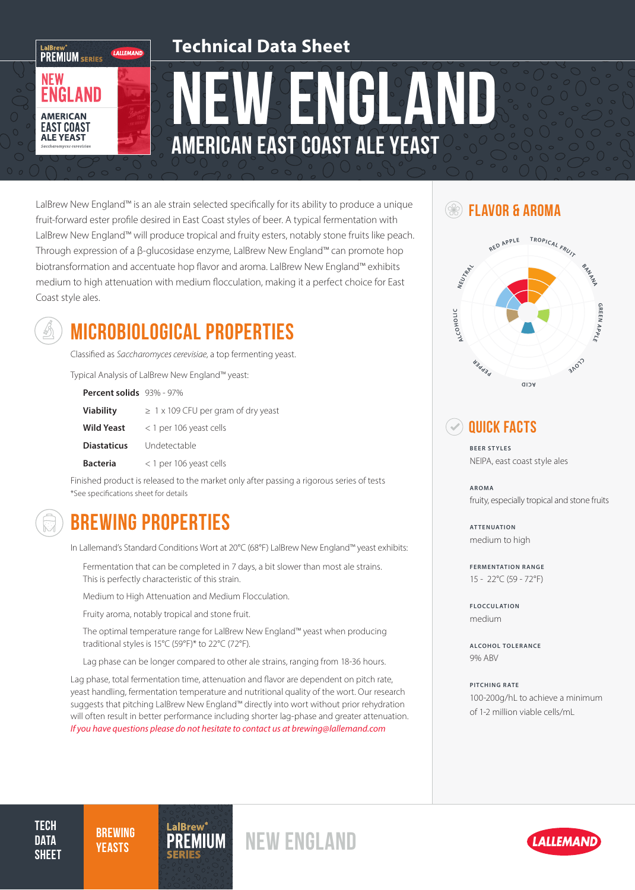### **Technical Data Sheet**

NEW ENGLAND american east coast Ale Yeast

LalBrew New England™ is an ale strain selected specifically for its ability to produce a unique fruit-forward ester profile desired in East Coast styles of beer. A typical fermentation with LalBrew New England™ will produce tropical and fruity esters, notably stone fruits like peach. Through expression of a β-glucosidase enzyme, LalBrew New England™ can promote hop biotransformation and accentuate hop flavor and aroma. LalBrew New England™ exhibits medium to high attenuation with medium flocculation, making it a perfect choice for East Coast style ales.



LaIBrew"<br>PREMIUM SERIES

ENGLAND

**AMERICAN EAST COAST ALE YEAST** 

**NEW** 

LALLEMAND

### MICROBIOLOGICAL PROPERTIES

Classified as *Saccharomyces cerevisiae*, a top fermenting yeast.

Typical Analysis of LalBrew New England™ yeast:

| Percent solids 93% - 97% |                                          |
|--------------------------|------------------------------------------|
| <b>Viability</b>         | $\geq 1$ x 109 CFU per gram of dry yeast |
| <b>Wild Yeast</b>        | $<$ 1 per 106 yeast cells                |
| <b>Diastaticus</b>       | Undetectable                             |
| <b>Bacteria</b>          | < 1 per 106 yeast cells                  |

Finished product is released to the market only after passing a rigorous series of tests \*See specifications sheet for details

# BREWING PROPERTIES

In Lallemand's Standard Conditions Wort at 20°C (68°F) LalBrew New England™ yeast exhibits:

Fermentation that can be completed in 7 days, a bit slower than most ale strains. This is perfectly characteristic of this strain.

Medium to High Attenuation and Medium Flocculation.

Fruity aroma, notably tropical and stone fruit.

The optimal temperature range for LalBrew New England™ yeast when producing traditional styles is 15°C (59°F)\* to 22°C (72°F).

Lag phase can be longer compared to other ale strains, ranging from 18-36 hours.

Lag phase, total fermentation time, attenuation and flavor are dependent on pitch rate, yeast handling, fermentation temperature and nutritional quality of the wort. Our research suggests that pitching LalBrew New England™ directly into wort without prior rehydration will often result in better performance including shorter lag-phase and greater attenuation. *If you have questions please do not hesitate to contact us at brewing@lallemand.com*

#### **SEX FLAVOR & AROMA**



#### Quick Facts

**BEER STYLES** NEIPA, east coast style ales

**AROMA** fruity, especially tropical and stone fruits

**ATTENUATION** medium to high

**FERMENTATION RANGE** 15 - 22°C (59 - 72°F)

**FLOCCULATION** medium

**ALCOHOL TOLERANCE** 9% ABV

**PITCHING RATE** 100-200g/hL to achieve a minimum of 1-2 million viable cells/mL

**TECH DATA SHEET** 

**BREWING** 



**PREMIUM NEW ENGLAND**